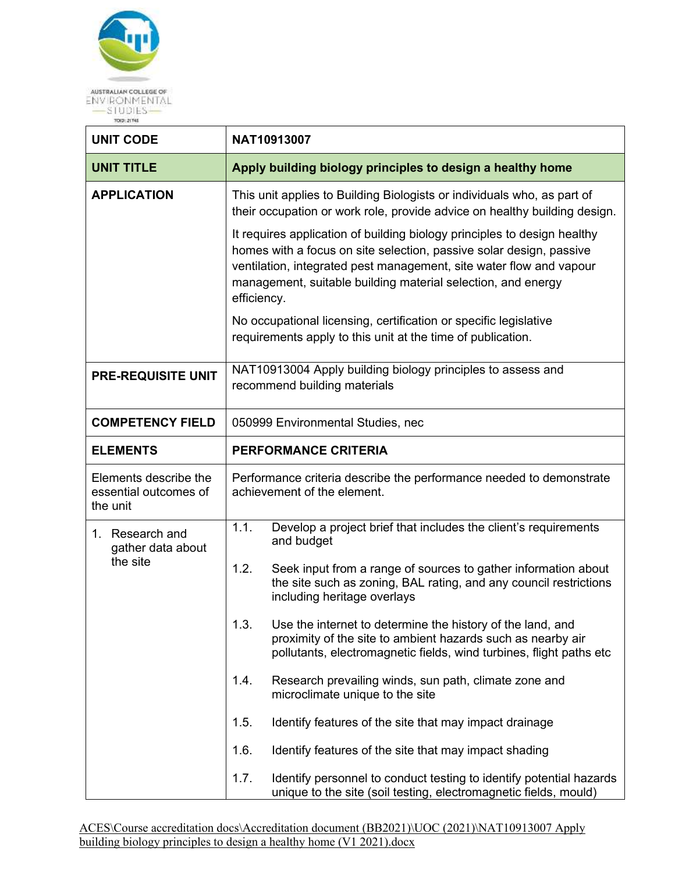

| <b>UNIT CODE</b>                                           | NAT10913007                                                                                                                                                                                                                                                                                           |  |
|------------------------------------------------------------|-------------------------------------------------------------------------------------------------------------------------------------------------------------------------------------------------------------------------------------------------------------------------------------------------------|--|
| <b>UNIT TITLE</b>                                          | Apply building biology principles to design a healthy home                                                                                                                                                                                                                                            |  |
| <b>APPLICATION</b>                                         | This unit applies to Building Biologists or individuals who, as part of<br>their occupation or work role, provide advice on healthy building design.                                                                                                                                                  |  |
|                                                            | It requires application of building biology principles to design healthy<br>homes with a focus on site selection, passive solar design, passive<br>ventilation, integrated pest management, site water flow and vapour<br>management, suitable building material selection, and energy<br>efficiency. |  |
|                                                            | No occupational licensing, certification or specific legislative<br>requirements apply to this unit at the time of publication.                                                                                                                                                                       |  |
| <b>PRE-REQUISITE UNIT</b>                                  | NAT10913004 Apply building biology principles to assess and<br>recommend building materials                                                                                                                                                                                                           |  |
| <b>COMPETENCY FIELD</b>                                    | 050999 Environmental Studies, nec                                                                                                                                                                                                                                                                     |  |
| <b>ELEMENTS</b>                                            | <b>PERFORMANCE CRITERIA</b>                                                                                                                                                                                                                                                                           |  |
| Elements describe the<br>essential outcomes of<br>the unit | Performance criteria describe the performance needed to demonstrate<br>achievement of the element.                                                                                                                                                                                                    |  |
| 1. Research and<br>gather data about                       | 1.1.<br>Develop a project brief that includes the client's requirements<br>and budget                                                                                                                                                                                                                 |  |
| the site                                                   | 1.2.<br>Seek input from a range of sources to gather information about<br>the site such as zoning, BAL rating, and any council restrictions<br>including heritage overlays                                                                                                                            |  |
|                                                            | 1.3.<br>Use the internet to determine the history of the land, and<br>proximity of the site to ambient hazards such as nearby air<br>pollutants, electromagnetic fields, wind turbines, flight paths etc                                                                                              |  |
|                                                            | 1.4.<br>Research prevailing winds, sun path, climate zone and<br>microclimate unique to the site                                                                                                                                                                                                      |  |
|                                                            | 1.5.<br>Identify features of the site that may impact drainage                                                                                                                                                                                                                                        |  |
|                                                            | 1.6.<br>Identify features of the site that may impact shading                                                                                                                                                                                                                                         |  |
|                                                            | 1.7.<br>Identify personnel to conduct testing to identify potential hazards<br>unique to the site (soil testing, electromagnetic fields, mould)                                                                                                                                                       |  |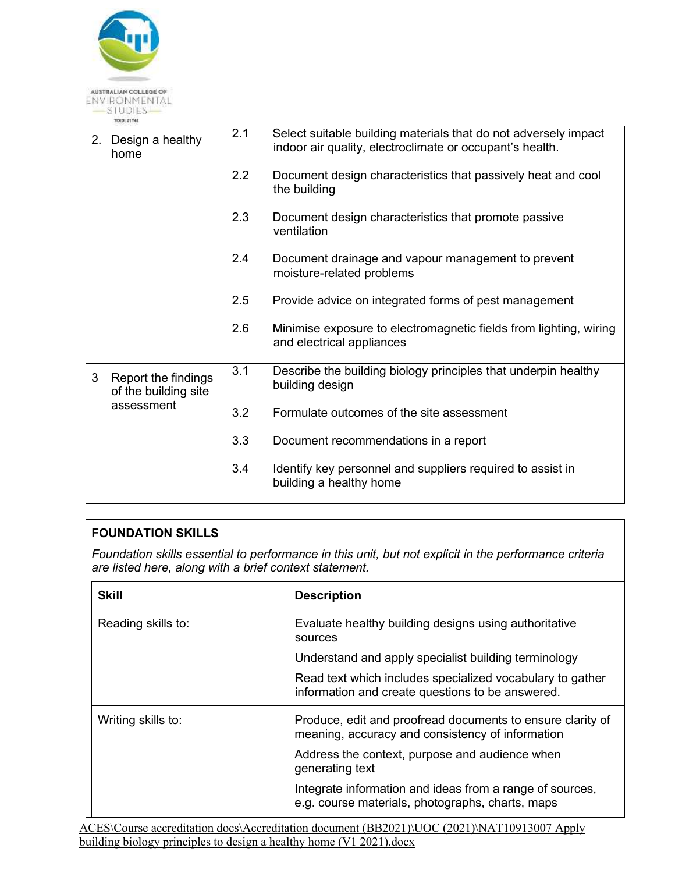

| Design a healthy<br>2.<br>home                   | 2.1 | Select suitable building materials that do not adversely impact<br>indoor air quality, electroclimate or occupant's health. |
|--------------------------------------------------|-----|-----------------------------------------------------------------------------------------------------------------------------|
|                                                  | 2.2 | Document design characteristics that passively heat and cool<br>the building                                                |
|                                                  | 2.3 | Document design characteristics that promote passive<br>ventilation                                                         |
|                                                  | 2.4 | Document drainage and vapour management to prevent<br>moisture-related problems                                             |
|                                                  | 2.5 | Provide advice on integrated forms of pest management                                                                       |
|                                                  | 2.6 | Minimise exposure to electromagnetic fields from lighting, wiring<br>and electrical appliances                              |
| 3<br>Report the findings<br>of the building site | 3.1 | Describe the building biology principles that underpin healthy<br>building design                                           |
| assessment                                       | 3.2 | Formulate outcomes of the site assessment                                                                                   |
|                                                  | 3.3 | Document recommendations in a report                                                                                        |
|                                                  | 3.4 | Identify key personnel and suppliers required to assist in<br>building a healthy home                                       |
|                                                  |     |                                                                                                                             |

## **FOUNDATION SKILLS**

*Foundation skills essential to performance in this unit, but not explicit in the performance criteria are listed here, along with a brief context statement.* 

| <b>Skill</b>       | <b>Description</b>                                                                                             |
|--------------------|----------------------------------------------------------------------------------------------------------------|
| Reading skills to: | Evaluate healthy building designs using authoritative<br>sources                                               |
|                    | Understand and apply specialist building terminology                                                           |
|                    | Read text which includes specialized vocabulary to gather<br>information and create questions to be answered.  |
| Writing skills to: | Produce, edit and proofread documents to ensure clarity of<br>meaning, accuracy and consistency of information |
|                    | Address the context, purpose and audience when<br>generating text                                              |
|                    | Integrate information and ideas from a range of sources,<br>e.g. course materials, photographs, charts, maps   |

[ACES\Course accreditation docs\Accreditation document \(BB2021\)\UOC \(2021\)\NAT10913007 Apply](NAT10913007%20Apply%20building%20biology%20principles%20to%20design%20a%20healthy%20home%20v.1%202021.docx)  [building biology principles to design a healthy home \(V1 2021\).docx](NAT10913007%20Apply%20building%20biology%20principles%20to%20design%20a%20healthy%20home%20v.1%202021.docx)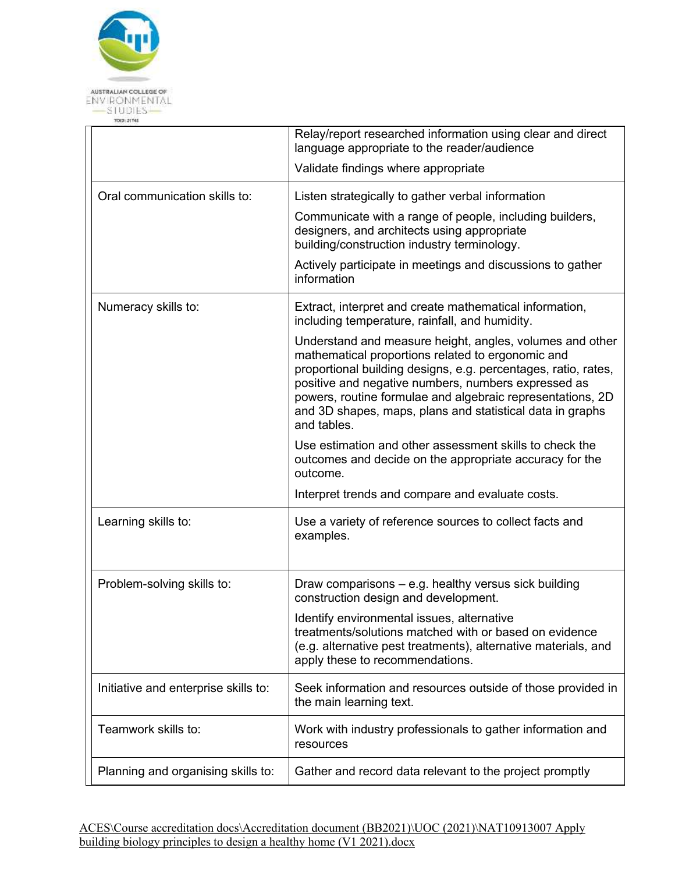

|                                      | Relay/report researched information using clear and direct<br>language appropriate to the reader/audience                                                                                                                                                                                                                                                                        |
|--------------------------------------|----------------------------------------------------------------------------------------------------------------------------------------------------------------------------------------------------------------------------------------------------------------------------------------------------------------------------------------------------------------------------------|
|                                      | Validate findings where appropriate                                                                                                                                                                                                                                                                                                                                              |
| Oral communication skills to:        | Listen strategically to gather verbal information                                                                                                                                                                                                                                                                                                                                |
|                                      | Communicate with a range of people, including builders,<br>designers, and architects using appropriate<br>building/construction industry terminology.                                                                                                                                                                                                                            |
|                                      | Actively participate in meetings and discussions to gather<br>information                                                                                                                                                                                                                                                                                                        |
| Numeracy skills to:                  | Extract, interpret and create mathematical information,<br>including temperature, rainfall, and humidity.                                                                                                                                                                                                                                                                        |
|                                      | Understand and measure height, angles, volumes and other<br>mathematical proportions related to ergonomic and<br>proportional building designs, e.g. percentages, ratio, rates,<br>positive and negative numbers, numbers expressed as<br>powers, routine formulae and algebraic representations, 2D<br>and 3D shapes, maps, plans and statistical data in graphs<br>and tables. |
|                                      | Use estimation and other assessment skills to check the<br>outcomes and decide on the appropriate accuracy for the<br>outcome.                                                                                                                                                                                                                                                   |
|                                      | Interpret trends and compare and evaluate costs.                                                                                                                                                                                                                                                                                                                                 |
| Learning skills to:                  | Use a variety of reference sources to collect facts and<br>examples.                                                                                                                                                                                                                                                                                                             |
| Problem-solving skills to:           | Draw comparisons – e.g. healthy versus sick building<br>construction design and development.                                                                                                                                                                                                                                                                                     |
|                                      | Identify environmental issues, alternative<br>treatments/solutions matched with or based on evidence<br>(e.g. alternative pest treatments), alternative materials, and<br>apply these to recommendations.                                                                                                                                                                        |
| Initiative and enterprise skills to: | Seek information and resources outside of those provided in<br>the main learning text.                                                                                                                                                                                                                                                                                           |
| Teamwork skills to:                  | Work with industry professionals to gather information and<br>resources                                                                                                                                                                                                                                                                                                          |
| Planning and organising skills to:   | Gather and record data relevant to the project promptly                                                                                                                                                                                                                                                                                                                          |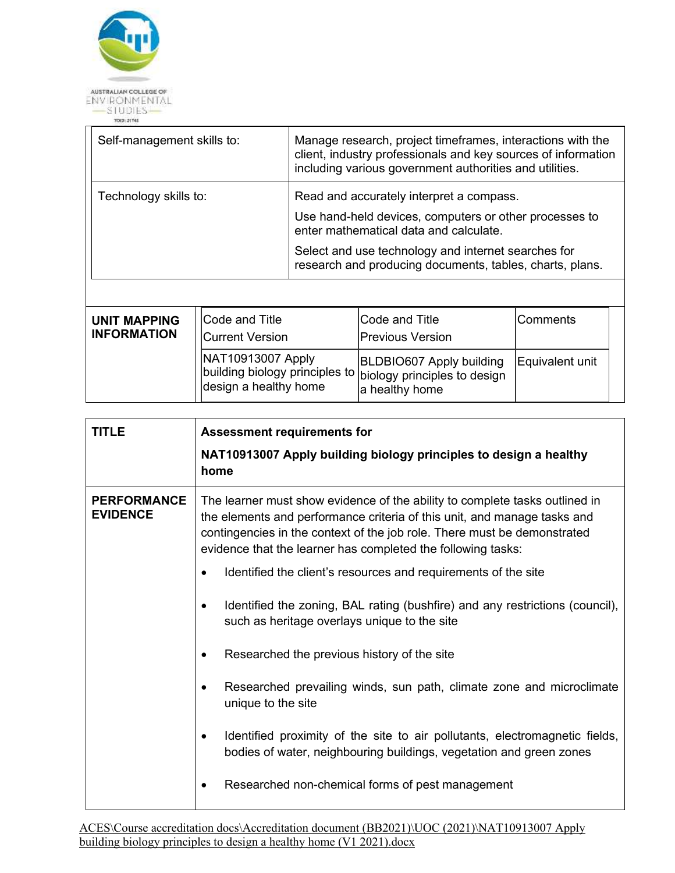

| Self-management skills to: | Manage research, project timeframes, interactions with the<br>client, industry professionals and key sources of information<br>including various government authorities and utilities. |
|----------------------------|----------------------------------------------------------------------------------------------------------------------------------------------------------------------------------------|
| Technology skills to:      | Read and accurately interpret a compass.<br>Use hand-held devices, computers or other processes to<br>enter mathematical data and calculate.                                           |
|                            | Select and use technology and internet searches for<br>research and producing documents, tables, charts, plans.                                                                        |
|                            |                                                                                                                                                                                        |

| <b>UNIT MAPPING</b><br><b>INFORMATION</b> | Code and Title<br><b>Current Version</b>                                                                                    | Code and Title<br><b>Previous Version</b>         | Comments        |  |
|-------------------------------------------|-----------------------------------------------------------------------------------------------------------------------------|---------------------------------------------------|-----------------|--|
|                                           | NAT10913007 Apply<br>$\frac{1}{1}$ building biology principles to $ $ biology principles to design<br>design a healthy home | <b>BLDBIO607 Apply building</b><br>a healthy home | Equivalent unit |  |

| TITLE                                 | <b>Assessment requirements for</b>                                                                                                                                                                                                                                                                  |  |
|---------------------------------------|-----------------------------------------------------------------------------------------------------------------------------------------------------------------------------------------------------------------------------------------------------------------------------------------------------|--|
|                                       | NAT10913007 Apply building biology principles to design a healthy<br>home                                                                                                                                                                                                                           |  |
| <b>PERFORMANCE</b><br><b>EVIDENCE</b> | The learner must show evidence of the ability to complete tasks outlined in<br>the elements and performance criteria of this unit, and manage tasks and<br>contingencies in the context of the job role. There must be demonstrated<br>evidence that the learner has completed the following tasks: |  |
|                                       | Identified the client's resources and requirements of the site                                                                                                                                                                                                                                      |  |
|                                       | Identified the zoning, BAL rating (bushfire) and any restrictions (council),<br>$\bullet$<br>such as heritage overlays unique to the site                                                                                                                                                           |  |
|                                       | Researched the previous history of the site                                                                                                                                                                                                                                                         |  |
|                                       | Researched prevailing winds, sun path, climate zone and microclimate<br>unique to the site                                                                                                                                                                                                          |  |
|                                       | Identified proximity of the site to air pollutants, electromagnetic fields,<br>$\bullet$<br>bodies of water, neighbouring buildings, vegetation and green zones                                                                                                                                     |  |
|                                       | Researched non-chemical forms of pest management<br>$\bullet$                                                                                                                                                                                                                                       |  |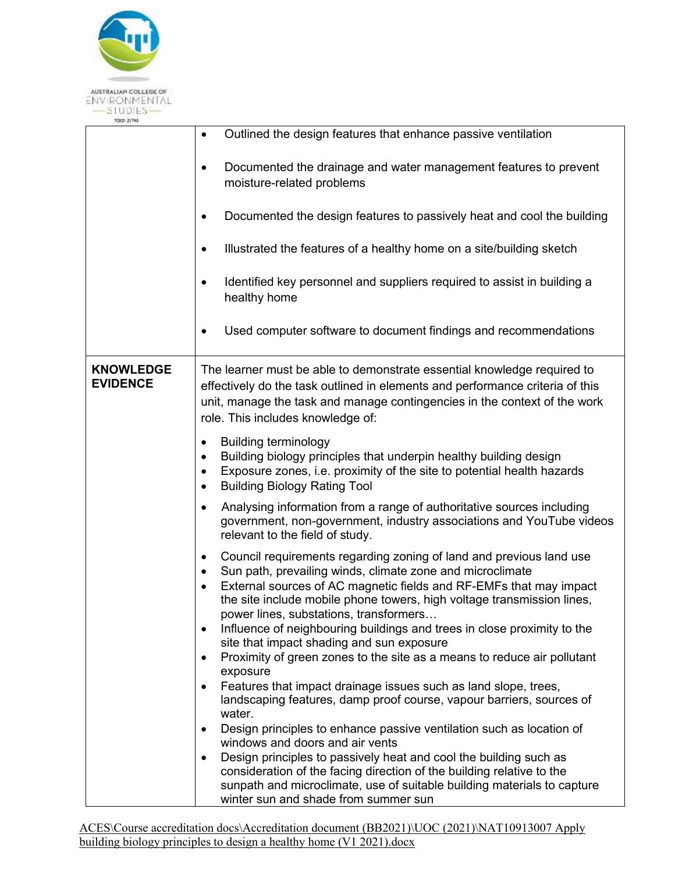

| TO(D: 21745                         |                                                                                                                                                                                                                                                                                                                                                           |
|-------------------------------------|-----------------------------------------------------------------------------------------------------------------------------------------------------------------------------------------------------------------------------------------------------------------------------------------------------------------------------------------------------------|
|                                     | Outlined the design features that enhance passive ventilation<br>$\bullet$                                                                                                                                                                                                                                                                                |
|                                     | Documented the drainage and water management features to prevent<br>٠<br>moisture-related problems                                                                                                                                                                                                                                                        |
|                                     | Documented the design features to passively heat and cool the building                                                                                                                                                                                                                                                                                    |
|                                     | Illustrated the features of a healthy home on a site/building sketch<br>$\bullet$                                                                                                                                                                                                                                                                         |
|                                     | Identified key personnel and suppliers required to assist in building a<br>$\bullet$<br>healthy home                                                                                                                                                                                                                                                      |
|                                     | Used computer software to document findings and recommendations                                                                                                                                                                                                                                                                                           |
| <b>KNOWLEDGE</b><br><b>EVIDENCE</b> | The learner must be able to demonstrate essential knowledge required to<br>effectively do the task outlined in elements and performance criteria of this<br>unit, manage the task and manage contingencies in the context of the work<br>role. This includes knowledge of:                                                                                |
|                                     | <b>Building terminology</b><br>Building biology principles that underpin healthy building design<br>Exposure zones, i.e. proximity of the site to potential health hazards<br><b>Building Biology Rating Tool</b><br>$\bullet$                                                                                                                            |
|                                     | Analysing information from a range of authoritative sources including<br>$\bullet$<br>government, non-government, industry associations and YouTube videos<br>relevant to the field of study.                                                                                                                                                             |
|                                     | Council requirements regarding zoning of land and previous land use<br>٠<br>Sun path, prevailing winds, climate zone and microclimate<br>$\bullet$<br>External sources of AC magnetic fields and RF-EMFs that may impact<br>$\bullet$<br>the site include mobile phone towers, high voltage transmission lines,<br>power lines, substations, transformers |
|                                     | Influence of neighbouring buildings and trees in close proximity to the<br>$\bullet$<br>site that impact shading and sun exposure<br>Proximity of green zones to the site as a means to reduce air pollutant<br>$\bullet$                                                                                                                                 |
|                                     | exposure<br>Features that impact drainage issues such as land slope, trees,                                                                                                                                                                                                                                                                               |
|                                     | landscaping features, damp proof course, vapour barriers, sources of<br>water.                                                                                                                                                                                                                                                                            |
|                                     | Design principles to enhance passive ventilation such as location of<br>٠<br>windows and doors and air vents                                                                                                                                                                                                                                              |
|                                     | Design principles to passively heat and cool the building such as<br>$\bullet$<br>consideration of the facing direction of the building relative to the<br>sunpath and microclimate, use of suitable building materials to capture<br>winter sun and shade from summer sun                                                                                |